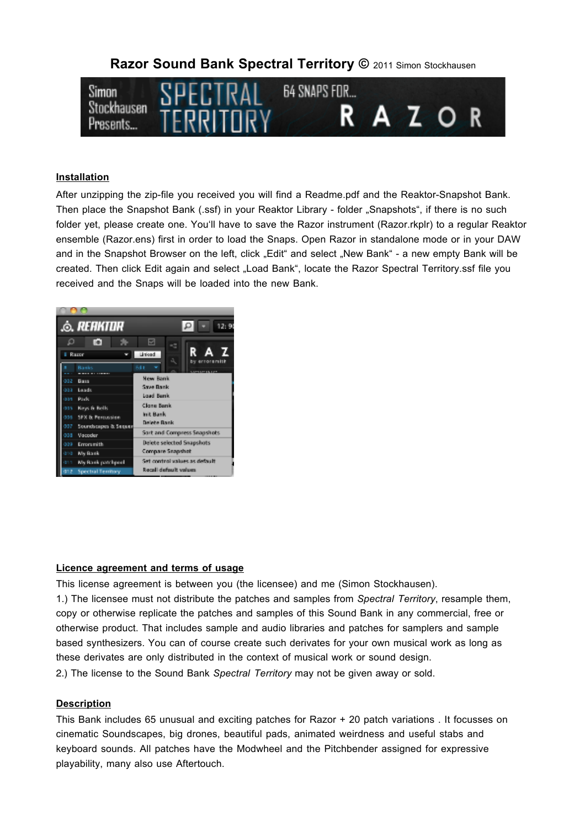# **Razor Sound Bank Spectral Territory ©** 2011 Simon Stockhausen



#### **Installation**

After unzipping the zip-file you received you will find a Readme.pdf and the Reaktor-Snapshot Bank. Then place the Snapshot Bank (.ssf) in your Reaktor Library - folder "Snapshots", if there is no such folder yet, please create one. You'll have to save the Razor instrument (Razor.rkplr) to a regular Reaktor ensemble (Razor.ens) first in order to load the Snaps. Open Razor in standalone mode or in your DAW and in the Snapshot Browser on the left, click ..Edit" and select ..New Bank" - a new empty Bank will be created. Then click Edit again and select "Load Bank", locate the Razor Spectral Territory.ssf file you received and the Snaps will be loaded into the new Bank.



## **Licence agreement and terms of usage**

This license agreement is between you (the licensee) and me (Simon Stockhausen). 1.) The licensee must not distribute the patches and samples from *Spectral Territory*, resample them,

copy or otherwise replicate the patches and samples of this Sound Bank in any commercial, free or otherwise product. That includes sample and audio libraries and patches for samplers and sample based synthesizers. You can of course create such derivates for your own musical work as long as these derivates are only distributed in the context of musical work or sound design.

2.) The license to the Sound Bank *Spectral Territory* may not be given away or sold.

#### **Description**

This Bank includes 65 unusual and exciting patches for Razor + 20 patch variations . It focusses on cinematic Soundscapes, big drones, beautiful pads, animated weirdness and useful stabs and keyboard sounds. All patches have the Modwheel and the Pitchbender assigned for expressive playability, many also use Aftertouch.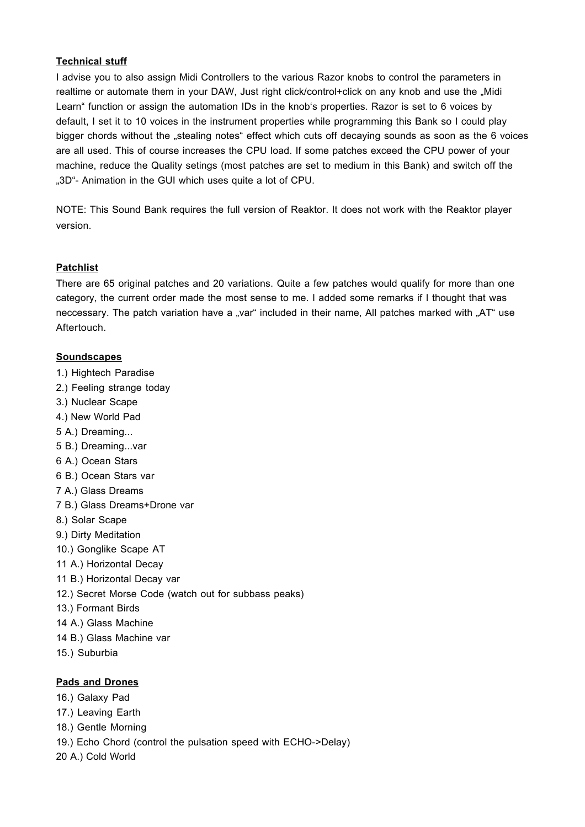## **Technical stuff**

I advise you to also assign Midi Controllers to the various Razor knobs to control the parameters in realtime or automate them in your DAW, Just right click/control+click on any knob and use the "Midi Learn" function or assign the automation IDs in the knob's properties. Razor is set to 6 voices by default, I set it to 10 voices in the instrument properties while programming this Bank so I could play bigger chords without the "stealing notes" effect which cuts off decaying sounds as soon as the 6 voices are all used. This of course increases the CPU load. If some patches exceed the CPU power of your machine, reduce the Quality setings (most patches are set to medium in this Bank) and switch off the ..3D"- Animation in the GUI which uses quite a lot of CPU.

NOTE: This Sound Bank requires the full version of Reaktor. It does not work with the Reaktor player version.

# **Patchlist**

There are 65 original patches and 20 variations. Quite a few patches would qualify for more than one category, the current order made the most sense to me. I added some remarks if I thought that was neccessary. The patch variation have a "var" included in their name, All patches marked with "AT" use Aftertouch.

## **Soundscapes**

- 1.) Hightech Paradise 2.) Feeling strange today 3.) Nuclear Scape 4.) New World Pad
- 5 A.) Dreaming...
- 5 B.) Dreaming...var
- 6 A.) Ocean Stars
- 6 B.) Ocean Stars var
- 7 A.) Glass Dreams
- 7 B.) Glass Dreams+Drone var
- 8.) Solar Scape
- 9.) Dirty Meditation
- 10.) Gonglike Scape AT
- 11 A.) Horizontal Decay
- 11 B.) Horizontal Decay var
- 12.) Secret Morse Code (watch out for subbass peaks)
- 13.) Formant Birds
- 14 A.) Glass Machine
- 14 B.) Glass Machine var
- 15.) Suburbia

# **Pads and Drones**

- 16.) Galaxy Pad
- 17.) Leaving Earth
- 18.) Gentle Morning
- 19.) Echo Chord (control the pulsation speed with ECHO->Delay)
- 20 A.) Cold World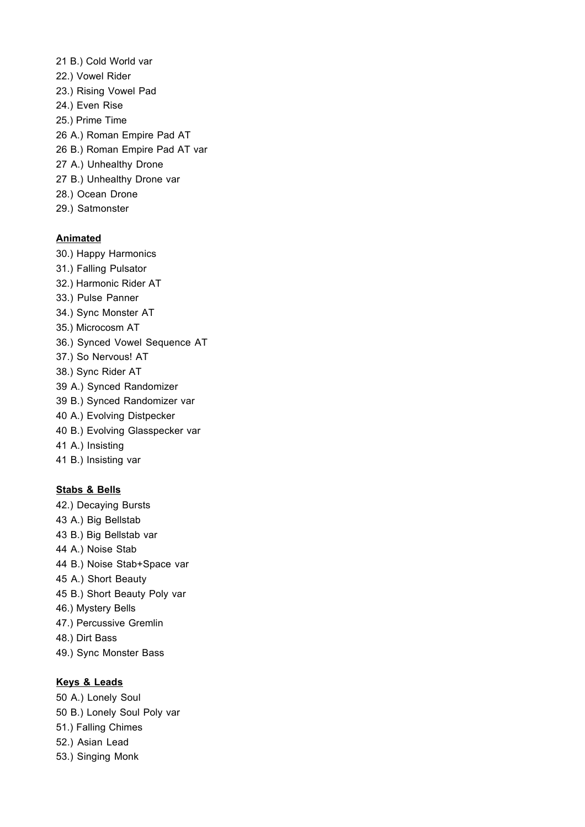- 21 B.) Cold World var 22.) Vowel Rider 23.) Rising Vowel Pad 24.) Even Rise 25.) Prime Time 26 A.) Roman Empire Pad AT 26 B.) Roman Empire Pad AT var 27 A.) Unhealthy Drone 27 B.) Unhealthy Drone var 28.) Ocean Drone
- 29.) Satmonster

### **Animated**

- 30.) Happy Harmonics
- 31.) Falling Pulsator
- 32.) Harmonic Rider AT
- 33.) Pulse Panner
- 34.) Sync Monster AT
- 35.) Microcosm AT
- 36.) Synced Vowel Sequence AT
- 37.) So Nervous! AT
- 38.) Sync Rider AT
- 39 A.) Synced Randomizer
- 39 B.) Synced Randomizer var
- 40 A.) Evolving Distpecker
- 40 B.) Evolving Glasspecker var
- 41 A.) Insisting
- 41 B.) Insisting var

#### **Stabs & Bells**

- 42.) Decaying Bursts 43 A.) Big Bellstab 43 B.) Big Bellstab var 44 A.) Noise Stab 44 B.) Noise Stab+Space var 45 A.) Short Beauty 45 B.) Short Beauty Poly var 46.) Mystery Bells 47.) Percussive Gremlin 48.) Dirt Bass
- 49.) Sync Monster Bass

# **Keys & Leads**

- 50 A.) Lonely Soul 50 B.) Lonely Soul Poly var 51.) Falling Chimes 52.) Asian Lead
- 53.) Singing Monk